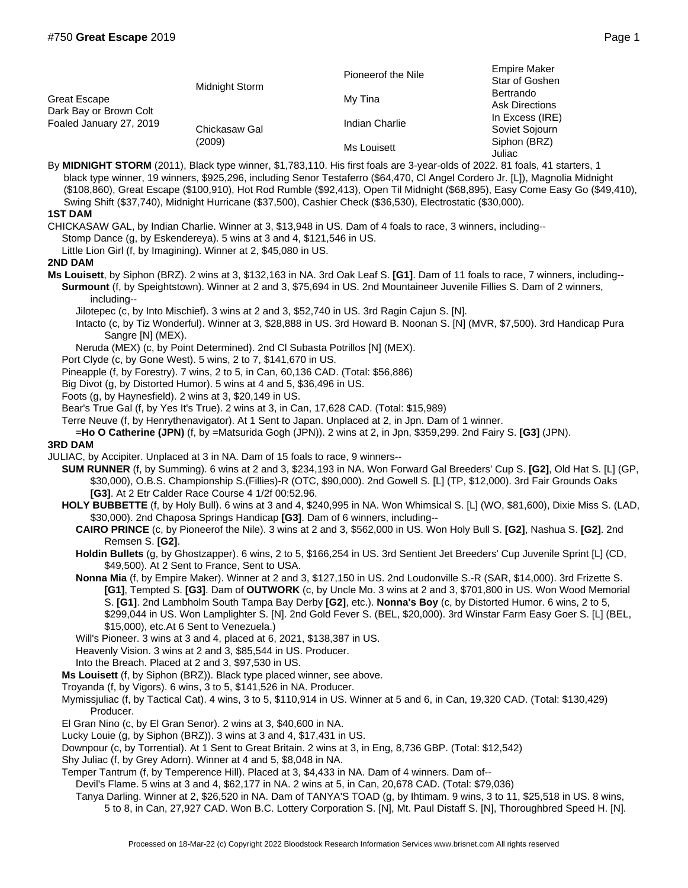| Great Escape<br>Dark Bay or Brown Colt<br>Foaled January 27, 2019 | Midnight Storm          | Pioneerof the Nile | <b>Empire Maker</b><br>Star of Goshen<br>Bertrando<br><b>Ask Directions</b><br>In Excess (IRE)<br>Soviet Sojourn<br>Siphon (BRZ)<br>Juliac |
|-------------------------------------------------------------------|-------------------------|--------------------|--------------------------------------------------------------------------------------------------------------------------------------------|
|                                                                   |                         | My Tina            |                                                                                                                                            |
|                                                                   | Chickasaw Gal<br>(2009) | Indian Charlie     |                                                                                                                                            |
|                                                                   |                         | Ms Louisett        |                                                                                                                                            |

By **MIDNIGHT STORM** (2011), Black type winner, \$1,783,110. His first foals are 3-year-olds of 2022. 81 foals, 41 starters, 1 black type winner, 19 winners, \$925,296, including Senor Testaferro (\$64,470, Cl Angel Cordero Jr. [L]), Magnolia Midnight (\$108,860), Great Escape (\$100,910), Hot Rod Rumble (\$92,413), Open Til Midnight (\$68,895), Easy Come Easy Go (\$49,410), Swing Shift (\$37,740), Midnight Hurricane (\$37,500), Cashier Check (\$36,530), Electrostatic (\$30,000).

## **1ST DAM**

CHICKASAW GAL, by Indian Charlie. Winner at 3, \$13,948 in US. Dam of 4 foals to race, 3 winners, including--

Stomp Dance (g, by Eskendereya). 5 wins at 3 and 4, \$121,546 in US.

Little Lion Girl (f, by Imagining). Winner at 2, \$45,080 in US.

## **2ND DAM**

**Ms Louisett**, by Siphon (BRZ). 2 wins at 3, \$132,163 in NA. 3rd Oak Leaf S. **[G1]**. Dam of 11 foals to race, 7 winners, including-- **Surmount** (f, by Speightstown). Winner at 2 and 3, \$75,694 in US. 2nd Mountaineer Juvenile Fillies S. Dam of 2 winners, including--

Jilotepec (c, by Into Mischief). 3 wins at 2 and 3, \$52,740 in US. 3rd Ragin Cajun S. [N].

- Intacto (c, by Tiz Wonderful). Winner at 3, \$28,888 in US. 3rd Howard B. Noonan S. [N] (MVR, \$7,500). 3rd Handicap Pura Sangre [N] (MEX).
- Neruda (MEX) (c, by Point Determined). 2nd Cl Subasta Potrillos [N] (MEX).
- Port Clyde (c, by Gone West). 5 wins, 2 to 7, \$141,670 in US.
- Pineapple (f, by Forestry). 7 wins, 2 to 5, in Can, 60,136 CAD. (Total: \$56,886)

Big Divot (g, by Distorted Humor). 5 wins at 4 and 5, \$36,496 in US.

Foots (g, by Haynesfield). 2 wins at 3, \$20,149 in US.

Bear's True Gal (f, by Yes It's True). 2 wins at 3, in Can, 17,628 CAD. (Total: \$15,989)

Terre Neuve (f, by Henrythenavigator). At 1 Sent to Japan. Unplaced at 2, in Jpn. Dam of 1 winner.

=**Ho O Catherine (JPN)** (f, by =Matsurida Gogh (JPN)). 2 wins at 2, in Jpn, \$359,299. 2nd Fairy S. **[G3]** (JPN).

## **3RD DAM**

JULIAC, by Accipiter. Unplaced at 3 in NA. Dam of 15 foals to race, 9 winners--

- **SUM RUNNER** (f, by Summing). 6 wins at 2 and 3, \$234,193 in NA. Won Forward Gal Breeders' Cup S. **[G2]**, Old Hat S. [L] (GP, \$30,000), O.B.S. Championship S.(Fillies)-R (OTC, \$90,000). 2nd Gowell S. [L] (TP, \$12,000). 3rd Fair Grounds Oaks **[G3]**. At 2 Etr Calder Race Course 4 1/2f 00:52.96.
- **HOLY BUBBETTE** (f, by Holy Bull). 6 wins at 3 and 4, \$240,995 in NA. Won Whimsical S. [L] (WO, \$81,600), Dixie Miss S. (LAD, \$30,000). 2nd Chaposa Springs Handicap **[G3]**. Dam of 6 winners, including--
	- **CAIRO PRINCE** (c, by Pioneerof the Nile). 3 wins at 2 and 3, \$562,000 in US. Won Holy Bull S. **[G2]**, Nashua S. **[G2]**. 2nd Remsen S. **[G2]**.
	- **Holdin Bullets** (g, by Ghostzapper). 6 wins, 2 to 5, \$166,254 in US. 3rd Sentient Jet Breeders' Cup Juvenile Sprint [L] (CD, \$49,500). At 2 Sent to France, Sent to USA.
	- **Nonna Mia** (f, by Empire Maker). Winner at 2 and 3, \$127,150 in US. 2nd Loudonville S.-R (SAR, \$14,000). 3rd Frizette S. **[G1]**, Tempted S. **[G3]**. Dam of **OUTWORK** (c, by Uncle Mo. 3 wins at 2 and 3, \$701,800 in US. Won Wood Memorial S. **[G1]**. 2nd Lambholm South Tampa Bay Derby **[G2]**, etc.). **Nonna's Boy** (c, by Distorted Humor. 6 wins, 2 to 5, \$299,044 in US. Won Lamplighter S. [N]. 2nd Gold Fever S. (BEL, \$20,000). 3rd Winstar Farm Easy Goer S. [L] (BEL, \$15,000), etc.At 6 Sent to Venezuela.)
	- Will's Pioneer. 3 wins at 3 and 4, placed at 6, 2021, \$138,387 in US.
	- Heavenly Vision. 3 wins at 2 and 3, \$85,544 in US. Producer.

Into the Breach. Placed at 2 and 3, \$97,530 in US.

**Ms Louisett** (f, by Siphon (BRZ)). Black type placed winner, see above.

- Troyanda (f, by Vigors). 6 wins, 3 to 5, \$141,526 in NA. Producer.
- Mymissjuliac (f, by Tactical Cat). 4 wins, 3 to 5, \$110,914 in US. Winner at 5 and 6, in Can, 19,320 CAD. (Total: \$130,429) Producer.

El Gran Nino (c, by El Gran Senor). 2 wins at 3, \$40,600 in NA.

Lucky Louie (g, by Siphon (BRZ)). 3 wins at 3 and 4, \$17,431 in US.

Downpour (c, by Torrential). At 1 Sent to Great Britain. 2 wins at 3, in Eng, 8,736 GBP. (Total: \$12,542)

Shy Juliac (f, by Grey Adorn). Winner at 4 and 5, \$8,048 in NA.

Temper Tantrum (f, by Temperence Hill). Placed at 3, \$4,433 in NA. Dam of 4 winners. Dam of--

Devil's Flame. 5 wins at 3 and 4, \$62,177 in NA. 2 wins at 5, in Can, 20,678 CAD. (Total: \$79,036)

Tanya Darling. Winner at 2, \$26,520 in NA. Dam of TANYA'S TOAD (g, by Ihtimam. 9 wins, 3 to 11, \$25,518 in US. 8 wins, 5 to 8, in Can, 27,927 CAD. Won B.C. Lottery Corporation S. [N], Mt. Paul Distaff S. [N], Thoroughbred Speed H. [N].